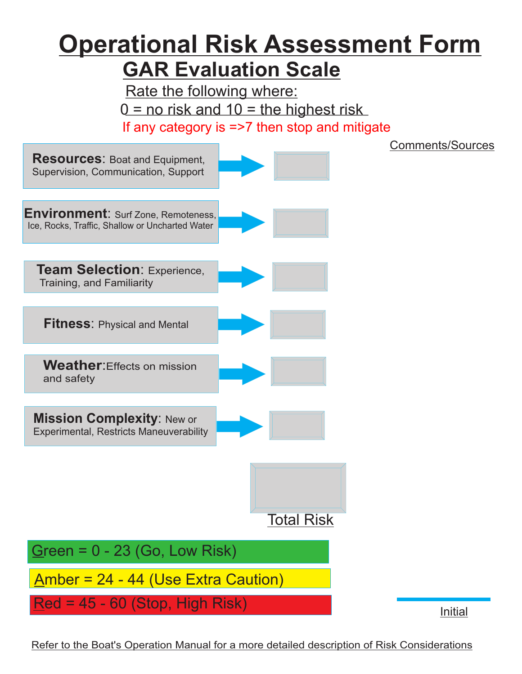## **GAR Evaluation Scale Operational Risk Assessment Form**

Rate the following where:  $0 =$  no risk and  $10 =$  the highest risk If any category is  $\approx$  7 then stop and mitigate



Refer to the Boat's Operation Manual for a more detailed description of Risk Considerations